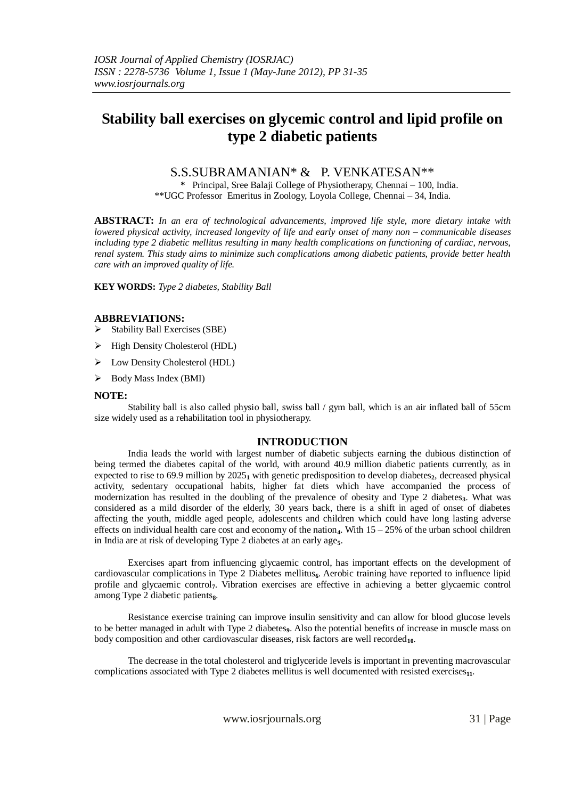# **Stability ball exercises on glycemic control and lipid profile on type 2 diabetic patients**

## S.S.SUBRAMANIAN\* & P. VENKATESAN\*\*

**\*** Principal, Sree Balaji College of Physiotherapy, Chennai – 100, India. \*\*UGC Professor Emeritus in Zoology, Loyola College, Chennai – 34, India.

**ABSTRACT:** *In an era of technological advancements, improved life style, more dietary intake with lowered physical activity, increased longevity of life and early onset of many non – communicable diseases including type 2 diabetic mellitus resulting in many health complications on functioning of cardiac, nervous, renal system. This study aims to minimize such complications among diabetic patients, provide better health care with an improved quality of life.*

**KEY WORDS:** *Type 2 diabetes, Stability Ball*

## **ABBREVIATIONS:**

- $\triangleright$  Stability Ball Exercises (SBE)
- $\triangleright$  High Density Cholesterol (HDL)
- $\triangleright$  Low Density Cholesterol (HDL)
- $\triangleright$  Body Mass Index (BMI)

### **NOTE:**

Stability ball is also called physio ball, swiss ball / gym ball, which is an air inflated ball of 55cm size widely used as a rehabilitation tool in physiotherapy.

## **INTRODUCTION**

India leads the world with largest number of diabetic subjects earning the dubious distinction of being termed the diabetes capital of the world, with around 40.9 million diabetic patients currently, as in expected to rise to 69.9 million by  $2025<sub>1</sub>$  with genetic predisposition to develop diabetes<sub>2</sub>, decreased physical activity, sedentary occupational habits, higher fat diets which have accompanied the process of modernization has resulted in the doubling of the prevalence of obesity and Type 2 diabetes<sub>3</sub>. What was considered as a mild disorder of the elderly, 30 years back, there is a shift in aged of onset of diabetes affecting the youth, middle aged people, adolescents and children which could have long lasting adverse effects on individual health care cost and economy of the nation<sub>4</sub>. With  $15 - 25\%$  of the urban school children in India are at risk of developing Type 2 diabetes at an early age<sub>5</sub>.

Exercises apart from influencing glycaemic control, has important effects on the development of cardiovascular complications in Type 2 Diabetes mellitus<sub>6</sub>. Aerobic training have reported to influence lipid profile and glycaemic control**7**. Vibration exercises are effective in achieving a better glycaemic control among Type 2 diabetic patients<sub>8</sub>.

Resistance exercise training can improve insulin sensitivity and can allow for blood glucose levels to be better managed in adult with Type 2 diabetes**9**. Also the potential benefits of increase in muscle mass on body composition and other cardiovascular diseases, risk factors are well recorded<sub>10</sub>.

The decrease in the total cholesterol and triglyceride levels is important in preventing macrovascular complications associated with Type 2 diabetes mellitus is well documented with resisted exercises**11**.

www.iosrjournals.org 31 | Page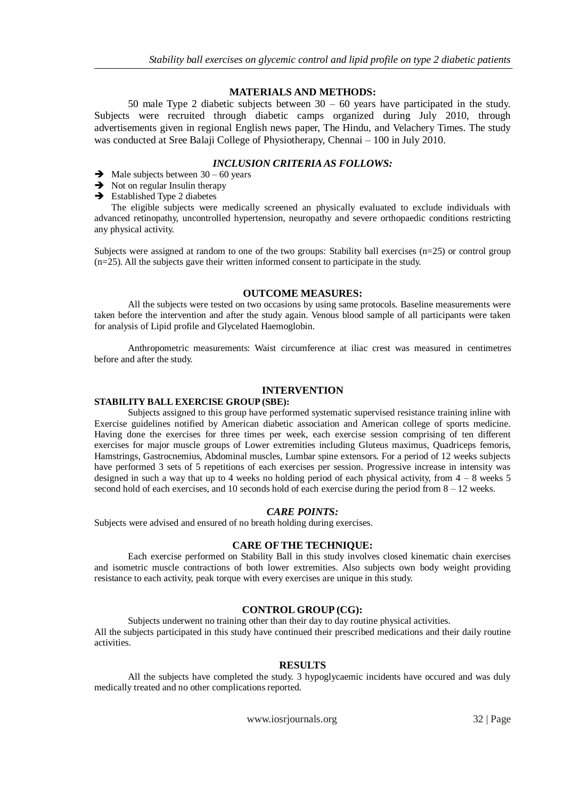## **MATERIALS AND METHODS:**

50 male Type 2 diabetic subjects between 30 – 60 years have participated in the study. Subjects were recruited through diabetic camps organized during July 2010, through advertisements given in regional English news paper, The Hindu, and Velachery Times. The study was conducted at Sree Balaji College of Physiotherapy, Chennai – 100 in July 2010.

## *INCLUSION CRITERIA AS FOLLOWS:*

- $\rightarrow$  Male subjects between 30 60 years
- $\rightarrow$  Not on regular Insulin therapy
- $\rightarrow$  Established Type 2 diabetes

The eligible subjects were medically screened an physically evaluated to exclude individuals with advanced retinopathy, uncontrolled hypertension, neuropathy and severe orthopaedic conditions restricting any physical activity.

Subjects were assigned at random to one of the two groups: Stability ball exercises (n=25) or control group (n=25). All the subjects gave their written informed consent to participate in the study.

#### **OUTCOME MEASURES:**

All the subjects were tested on two occasions by using same protocols. Baseline measurements were taken before the intervention and after the study again. Venous blood sample of all participants were taken for analysis of Lipid profile and Glycelated Haemoglobin.

Anthropometric measurements: Waist circumference at iliac crest was measured in centimetres before and after the study.

#### **INTERVENTION**

#### **STABILITY BALL EXERCISE GROUP (SBE):**

Subjects assigned to this group have performed systematic supervised resistance training inline with Exercise guidelines notified by American diabetic association and American college of sports medicine. Having done the exercises for three times per week, each exercise session comprising of ten different exercises for major muscle groups of Lower extremities including Gluteus maximus, Quadriceps femoris, Hamstrings, Gastrocnemius, Abdominal muscles, Lumbar spine extensors. For a period of 12 weeks subjects have performed 3 sets of 5 repetitions of each exercises per session. Progressive increase in intensity was designed in such a way that up to 4 weeks no holding period of each physical activity, from  $4 - 8$  weeks 5 second hold of each exercises, and 10 seconds hold of each exercise during the period from  $8 - 12$  weeks.

#### *CARE POINTS:*

Subjects were advised and ensured of no breath holding during exercises.

#### **CARE OF THE TECHNIQUE:**

Each exercise performed on Stability Ball in this study involves closed kinematic chain exercises and isometric muscle contractions of both lower extremities. Also subjects own body weight providing resistance to each activity, peak torque with every exercises are unique in this study.

#### **CONTROL GROUP (CG):**

Subjects underwent no training other than their day to day routine physical activities. All the subjects participated in this study have continued their prescribed medications and their daily routine activities.

#### **RESULTS**

All the subjects have completed the study. 3 hypoglycaemic incidents have occured and was duly medically treated and no other complications reported.

www.iosrjournals.org 32 | Page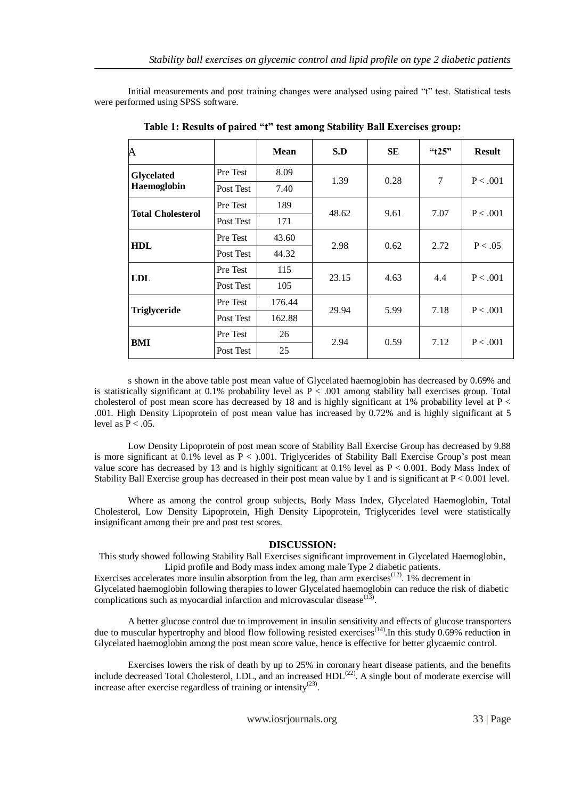Initial measurements and post training changes were analysed using paired "t" test. Statistical tests were performed using SPSS software.

| A                                |           | <b>Mean</b> | S.D   | <b>SE</b> | " $t25"$ | <b>Result</b> |
|----------------------------------|-----------|-------------|-------|-----------|----------|---------------|
| <b>Glycelated</b><br>Haemoglobin | Pre Test  | 8.09        | 1.39  | 0.28      | 7        | P < .001      |
|                                  | Post Test | 7.40        |       |           |          |               |
| <b>Total Cholesterol</b>         | Pre Test  | 189         | 48.62 | 9.61      | 7.07     | P < .001      |
|                                  | Post Test | 171         |       |           |          |               |
| <b>HDL</b>                       | Pre Test  | 43.60       | 2.98  | 0.62      | 2.72     | P < .05       |
|                                  | Post Test | 44.32       |       |           |          |               |
| LDL                              | Pre Test  | 115         | 23.15 | 4.63      | 4.4      | P < .001      |
|                                  | Post Test | 105         |       |           |          |               |
| <b>Triglyceride</b>              | Pre Test  | 176.44      | 29.94 | 5.99      | 7.18     | P < .001      |
|                                  | Post Test | 162.88      |       |           |          |               |
| BMI                              | Pre Test  | 26          | 2.94  | 0.59      | 7.12     | P < .001      |
|                                  | Post Test | 25          |       |           |          |               |

**Table 1: Results of paired "t" test among Stability Ball Exercises group:**

s shown in the above table post mean value of Glycelated haemoglobin has decreased by 0.69% and is statistically significant at 0.1% probability level as  $P < .001$  among stability ball exercises group. Total cholesterol of post mean score has decreased by 18 and is highly significant at 1% probability level at  $P \lt \theta$ .001. High Density Lipoprotein of post mean value has increased by 0.72% and is highly significant at 5 level as  $P < 0.05$ .

Low Density Lipoprotein of post mean score of Stability Ball Exercise Group has decreased by 9.88 is more significant at 0.1% level as  $P < 0.001$ . Triglycerides of Stability Ball Exercise Group's post mean value score has decreased by 13 and is highly significant at  $0.1\%$  level as P < 0.001. Body Mass Index of Stability Ball Exercise group has decreased in their post mean value by 1 and is significant at  $P < 0.001$  level.

Where as among the control group subjects, Body Mass Index, Glycelated Haemoglobin, Total Cholesterol, Low Density Lipoprotein, High Density Lipoprotein, Triglycerides level were statistically insignificant among their pre and post test scores.

#### **DISCUSSION:**

This study showed following Stability Ball Exercises significant improvement in Glycelated Haemoglobin, Lipid profile and Body mass index among male Type 2 diabetic patients.

Exercises accelerates more insulin absorption from the leg, than arm exercises<sup> $(12)$ </sup>. 1% decrement in Glycelated haemoglobin following therapies to lower Glycelated haemoglobin can reduce the risk of diabetic

complications such as myocardial infarction and microvascular disease $<sup>(13)</sup>$ .</sup>

A better glucose control due to improvement in insulin sensitivity and effects of glucose transporters due to muscular hypertrophy and blood flow following resisted exercises<sup> $(14)$ </sup>. In this study 0.69% reduction in Glycelated haemoglobin among the post mean score value, hence is effective for better glycaemic control.

Exercises lowers the risk of death by up to 25% in coronary heart disease patients, and the benefits include decreased Total Cholesterol, LDL, and an increased  $HDL<sup>(22)</sup>$ . A single bout of moderate exercise will increase after exercise regardless of training or intensity<sup>(23)</sup>.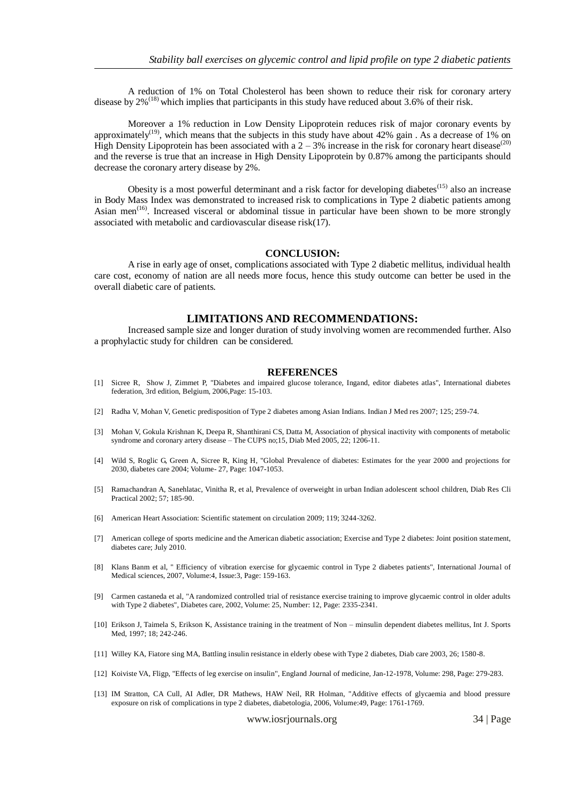A reduction of 1% on Total Cholesterol has been shown to reduce their risk for coronary artery disease by  $2\%^{(18)}$  which implies that participants in this study have reduced about 3.6% of their risk.

Moreover a 1% reduction in Low Density Lipoprotein reduces risk of major coronary events by approximately<sup>(19)</sup>, which means that the subjects in this study have about 42% gain. As a decrease of 1% on High Density Lipoprotein has been associated with a  $2 - 3%$  increase in the risk for coronary heart disease<sup>(20)</sup> and the reverse is true that an increase in High Density Lipoprotein by 0.87% among the participants should decrease the coronary artery disease by 2%.

Obesity is a most powerful determinant and a risk factor for developing diabetes $^{(15)}$  also an increase in Body Mass Index was demonstrated to increased risk to complications in Type 2 diabetic patients among Asian men<sup> $(16)$ </sup>. Increased visceral or abdominal tissue in particular have been shown to be more strongly associated with metabolic and cardiovascular disease risk(17).

#### **CONCLUSION:**

A rise in early age of onset, complications associated with Type 2 diabetic mellitus, individual health care cost, economy of nation are all needs more focus, hence this study outcome can better be used in the overall diabetic care of patients.

### **LIMITATIONS AND RECOMMENDATIONS:**

Increased sample size and longer duration of study involving women are recommended further. Also a prophylactic study for children can be considered.

#### **REFERENCES**

- [1] Sicree R, Show J, Zimmet P, "Diabetes and impaired glucose tolerance, Ingand, editor diabetes atlas", International diabetes federation, 3rd edition, Belgium, 2006,Page: 15-103.
- [2] Radha V, Mohan V, Genetic predisposition of Type 2 diabetes among Asian Indians. Indian J Med res 2007; 125; 259-74.
- [3] Mohan V, Gokula Krishnan K, Deepa R, Shanthirani CS, Datta M, Association of physical inactivity with components of metabolic syndrome and coronary artery disease – The CUPS no;15, Diab Med 2005, 22; 1206-11.
- [4] Wild S, Roglic G, Green A, Sicree R, King H, "Global Prevalence of diabetes: Estimates for the year 2000 and projections for 2030, diabetes care 2004; Volume- 27, Page: 1047-1053.
- [5] Ramachandran A, Sanehlatac, Vinitha R, et al, Prevalence of overweight in urban Indian adolescent school children, Diab Res Cli Practical 2002; 57; 185-90.
- [6] American Heart Association: Scientific statement on circulation 2009; 119; 3244-3262.
- [7] American college of sports medicine and the American diabetic association; Exercise and Type 2 diabetes: Joint position statement, diabetes care; July 2010.
- [8] Klans Banm et al, " Efficiency of vibration exercise for glycaemic control in Type 2 diabetes patients", International Journal of Medical sciences, 2007, Volume:4, Issue:3, Page: 159-163.
- [9] Carmen castaneda et al, "A randomized controlled trial of resistance exercise training to improve glycaemic control in older adults with Type 2 diabetes", Diabetes care, 2002, Volume: 25, Number: 12, Page: 2335-2341.
- [10] Erikson J, Taimela S, Erikson K, Assistance training in the treatment of Non minsulin dependent diabetes mellitus, Int J. Sports Med, 1997; 18; 242-246.
- [11] Willey KA, Fiatore sing MA, Battling insulin resistance in elderly obese with Type 2 diabetes, Diab care 2003, 26; 1580-8.
- [12] Koiviste VA, Fligp, "Effects of leg exercise on insulin", England Journal of medicine, Jan-12-1978, Volume: 298, Page: 279-283.
- [13] IM Stratton, CA Cull, AI Adler, DR Mathews, HAW Neil, RR Holman, "Additive effects of glycaemia and blood pressure exposure on risk of complications in type 2 diabetes, diabetologia, 2006, Volume:49, Page: 1761-1769.

www.iosrjournals.org 34 | Page